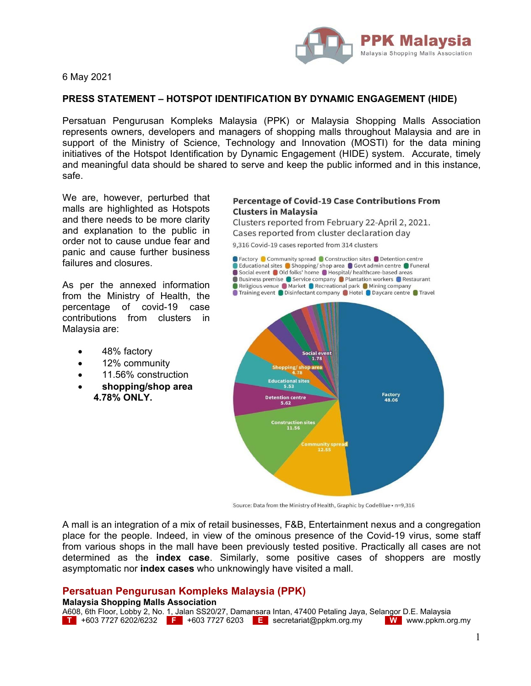

6 May 2021

## **PRESS STATEMENT – HOTSPOT IDENTIFICATION BY DYNAMIC ENGAGEMENT (HIDE)**

Persatuan Pengurusan Kompleks Malaysia (PPK) or Malaysia Shopping Malls Association represents owners, developers and managers of shopping malls throughout Malaysia and are in support of the Ministry of Science, Technology and Innovation (MOSTI) for the data mining initiatives of the Hotspot Identification by Dynamic Engagement (HIDE) system. Accurate, timely and meaningful data should be shared to serve and keep the public informed and in this instance, safe.

We are, however, perturbed that malls are highlighted as Hotspots and there needs to be more clarity and explanation to the public in order not to cause undue fear and panic and cause further business failures and closures.

As per the annexed information from the Ministry of Health, the percentage of covid-19 case contributions from clusters in Malaysia are:

- 48% factory
- 12% community
- 11.56% construction
- **shopping/shop area 4.78% ONLY.**

## **Percentage of Covid-19 Case Contributions From Clusters in Malaysia**

Clusters reported from February 22-April 2, 2021. Cases reported from cluster declaration day

9,316 Covid-19 cases reported from 314 clusters



Source: Data from the Ministry of Health, Graphic by CodeBlue • n=9,316

A mall is an integration of a mix of retail businesses, F&B, Entertainment nexus and a congregation place for the people. Indeed, in view of the ominous presence of the Covid-19 virus, some staff from various shops in the mall have been previously tested positive. Practically all cases are not determined as the **index case**. Similarly, some positive cases of shoppers are mostly asymptomatic nor **index cases** who unknowingly have visited a mall.

## **Persatuan Pengurusan Kompleks Malaysia (PPK)**

## **Malaysia Shopping Malls Association**

A608, 6th Floor, Lobby 2, No. 1, Jalan SS20/27, Damansara Intan, 47400 Petaling Jaya, Selangor D.E. Malaysia **T** +603 7727 6202/6232 **F** +603 7727 6203 **E** secretariat@ppkm.org.my **W** www.ppkm.org.my